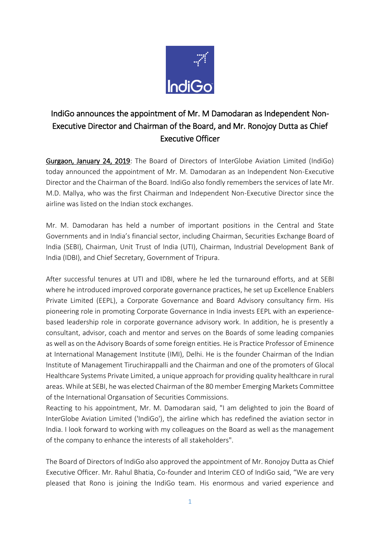

## IndiGo announces the appointment of Mr. M Damodaran as Independent Non-Executive Director and Chairman of the Board, and Mr. Ronojoy Dutta as Chief Executive Officer

Gurgaon, January 24, 2019: The Board of Directors of InterGlobe Aviation Limited (IndiGo) today announced the appointment of Mr. M. Damodaran as an Independent Non-Executive Director and the Chairman of the Board. IndiGo also fondly remembers the services of late Mr. M.D. Mallya, who was the first Chairman and Independent Non-Executive Director since the airline was listed on the Indian stock exchanges.

Mr. M. Damodaran has held a number of important positions in the Central and State Governments and in India's financial sector, including Chairman, Securities Exchange Board of India (SEBI), Chairman, Unit Trust of India (UTI), Chairman, Industrial Development Bank of India (IDBI), and Chief Secretary, Government of Tripura.

After successful tenures at UTI and IDBI, where he led the turnaround efforts, and at SEBI where he introduced improved corporate governance practices, he set up Excellence Enablers Private Limited (EEPL), a Corporate Governance and Board Advisory consultancy firm. His pioneering role in promoting Corporate Governance in India invests EEPL with an experiencebased leadership role in corporate governance advisory work. In addition, he is presently a consultant, advisor, coach and mentor and serves on the Boards of some leading companies as well as on the Advisory Boards of some foreign entities. He is Practice Professor of Eminence at International Management Institute (IMI), Delhi. He is the founder Chairman of the Indian Institute of Management Tiruchirappalli and the Chairman and one of the promoters of Glocal Healthcare Systems Private Limited, a unique approach for providing quality healthcare in rural areas. While at SEBI, he was elected Chairman of the 80 member Emerging Markets Committee of the International Organsation of Securities Commissions.

Reacting to his appointment, Mr. M. Damodaran said, "I am delighted to join the Board of InterGlobe Aviation Limited ('IndiGo'), the airline which has redefined the aviation sector in India. I look forward to working with my colleagues on the Board as well as the management of the company to enhance the interests of all stakeholders".

The Board of Directors of IndiGo also approved the appointment of Mr. Ronojoy Dutta as Chief Executive Officer. Mr. Rahul Bhatia, Co-founder and Interim CEO of IndiGo said, "We are very pleased that Rono is joining the IndiGo team. His enormous and varied experience and